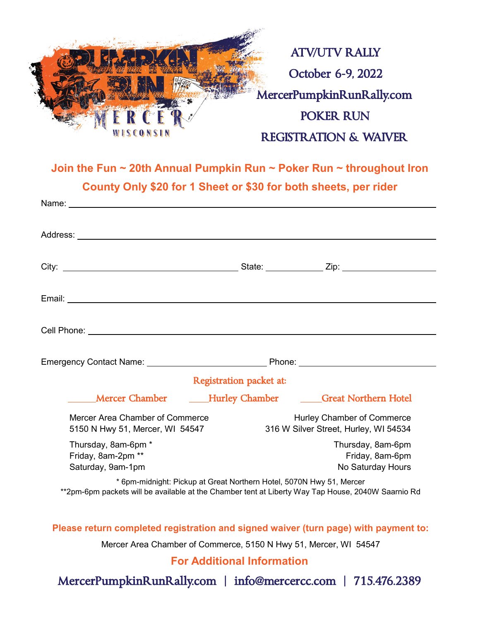

**Join the Fun ~ 20th Annual Pumpkin Run ~ Poker Run ~ throughout Iron County Only \$20 for 1 Sheet or \$30 for both sheets, per rider**

|                                                                                                                                                                                                                                                                                                                                                                                                                                                                             | <b>Registration packet at:</b> |                                                                     |
|-----------------------------------------------------------------------------------------------------------------------------------------------------------------------------------------------------------------------------------------------------------------------------------------------------------------------------------------------------------------------------------------------------------------------------------------------------------------------------|--------------------------------|---------------------------------------------------------------------|
| <b>Example 1</b> Mercer Chamber                                                                                                                                                                                                                                                                                                                                                                                                                                             |                                | ____Hurley Chamber ______Great Northern Hotel                       |
| Mercer Area Chamber of Commerce<br>5150 N Hwy 51, Mercer, WI 54547                                                                                                                                                                                                                                                                                                                                                                                                          |                                | Hurley Chamber of Commerce<br>316 W Silver Street, Hurley, WI 54534 |
| Thursday, 8am-6pm *<br>Friday, 8am-2pm **<br>Saturday, 9am-1pm                                                                                                                                                                                                                                                                                                                                                                                                              |                                | Thursday, 8am-6pm<br>Friday, 8am-6pm<br>No Saturday Hours           |
| * 6pm-midnight: Pickup at Great Northern Hotel, 5070N Hwy 51, Mercer<br>**2pm-6pm packets will be available at the Chamber tent at Liberty Way Tap House, 2040W Saarnio Rd                                                                                                                                                                                                                                                                                                  |                                |                                                                     |
| Please return completed registration and signed waiver (turn page) with payment to:<br>$\overline{a}$ $\overline{a}$ $\overline{a}$ $\overline{a}$ $\overline{a}$ $\overline{a}$ $\overline{a}$ $\overline{a}$ $\overline{a}$ $\overline{a}$ $\overline{a}$ $\overline{a}$ $\overline{a}$ $\overline{a}$ $\overline{a}$ $\overline{a}$ $\overline{a}$ $\overline{a}$ $\overline{a}$ $\overline{a}$ $\overline{a}$ $\overline{a}$ $\overline{a}$ $\overline{a}$ $\overline{$ |                                |                                                                     |

Mercer Area Chamber of Commerce, 5150 N Hwy 51, Mercer, WI 54547

**For Additional Information** 

MercerPumpkinRunRally.com | info@mercercc.com | 715.476.2389